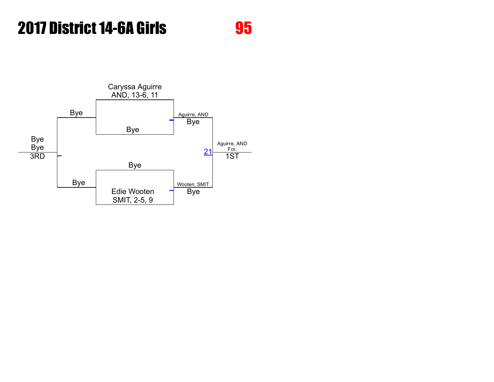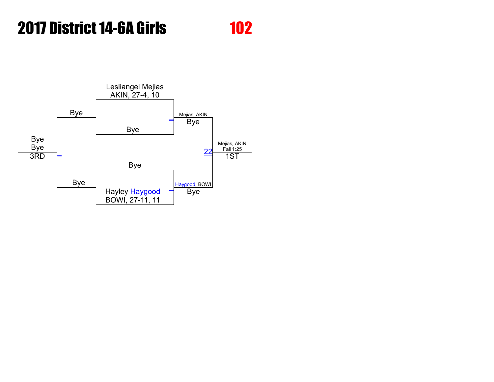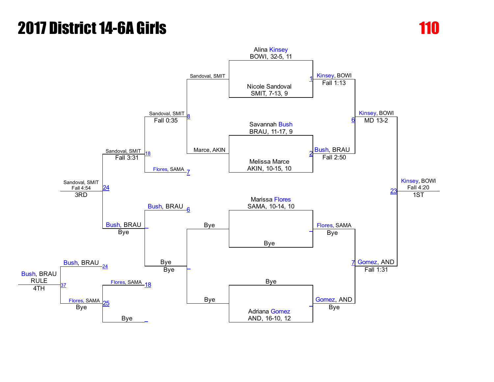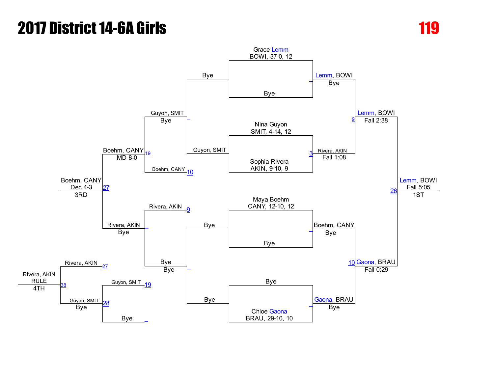# **2017 District 14-6A Girls 119 Annual Control 119 Annual Control 119 Annual Control 119 Annual Control 119 Annu**

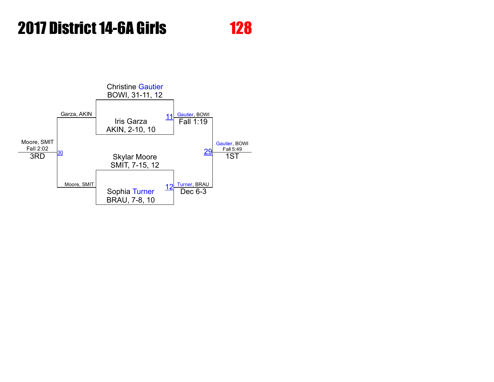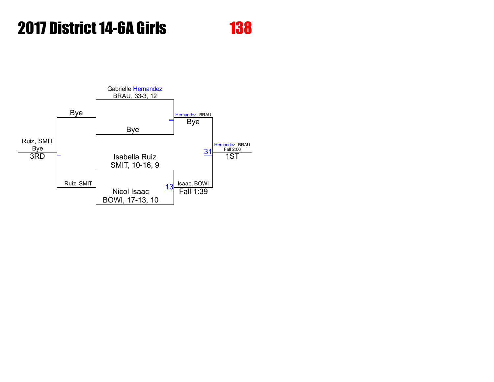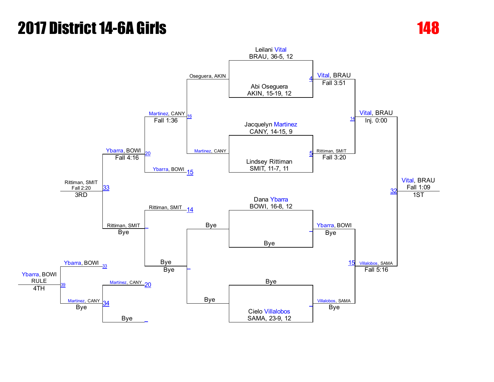# **2017 District 14-6A Girls 148 (1898)**

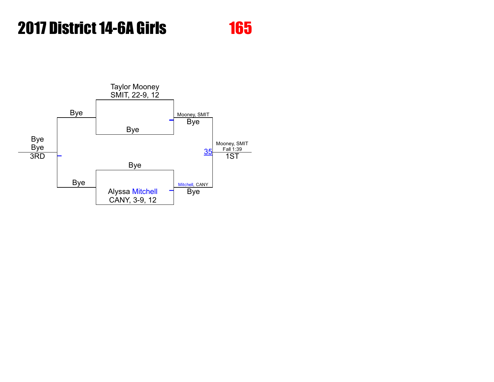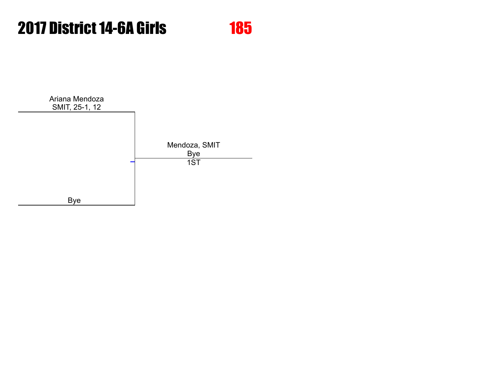